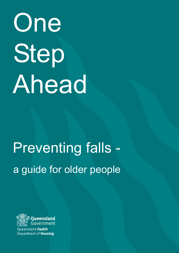# Step Ahead One

# Preventing falls a guide for older people



**Oueensland Health** Department of **Housing**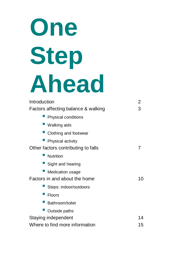# **One Step Ahead** Introduction 2

| Factors affecting balance & walking | З  |
|-------------------------------------|----|
| <b>Physical conditions</b>          |    |
| <b>Walking aids</b>                 |    |
| Clothing and footwear               |    |
| <b>Physical activity</b>            |    |
| Other factors contributing to falls | 7  |
| <b>Nutrition</b>                    |    |
| Sight and hearing                   |    |
| <b>Medication usage</b>             |    |
| Factors in and about the home       | 10 |
| Steps: indoor/outdoors              |    |
| <b>Floors</b>                       |    |
| Bathroom/toilet                     |    |
| Outside paths                       |    |
| Staying independent                 | 14 |
| Where to find more information      | 15 |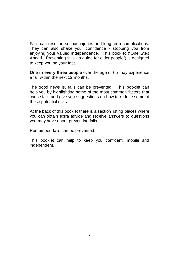Falls can result in serious injuries and long-term complications. They can also shake your confidence - stopping you from enjoying your valued independence. This booklet ("One Step Ahead. Preventing falls - a guide for older people") is designed to keep you on your feet.

**One in every three people** over the age of 65 may experience a fall within the next 12 months.

The good news is, falls can be prevented. This booklet can help you by highlighting some of the most common factors that cause falls and give you suggestions on how to reduce some of these potential risks.

At the back of this booklet there is a section listing places where you can obtain extra advice and receive answers to questions you may have about preventing falls.

Remember, falls can be prevented.

This booklet can help to keep you confident, mobile and independent.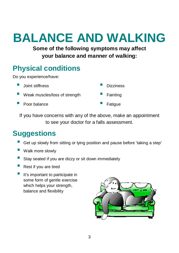# **BALANCE AND WALKING**

**Some of the following symptoms may affect your balance and manner of walking:**

#### **Physical conditions**

Do you experience/have:

- **E** Joint stiffness **CONTACT STATE** Dizziness
- Weak muscles/loss of strength **Example 20** Fainting
- Poor balance **Interval** Fatigue
- 
- 
- 

If you have concerns with any of the above, make an appointment to see your doctor for a falls assessment.

- ! Get up slowly from sitting or lying position and pause before 'taking a step'
- **New Walk more slowly**
- **E** Stay seated if you are dizzy or sit down immediately
- Rest if you are tired
- It's important to participate in some form of gentle exercise which helps your strength, balance and flexibility

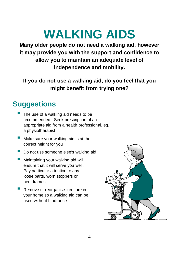# **WALKING AIDS**

**Many older people do not need a walking aid, however it may provide you with the support and confidence to allow you to maintain an adequate level of independence and mobility.**

**If you do not use a walking aid, do you feel that you might benefit from trying one?**

- The use of a walking aid needs to be recommended. Seek prescription of an appropriate aid from a health professional, eg. a physiotherapist
- **I** Make sure your walking aid is at the correct height for you
- **Do not use someone else's walking aid**
- **I.** Maintaining your walking aid will ensure that it will serve you well. Pay particular attention to any loose parts, worn stoppers or bent frames
- Remove or reorganise furniture in your home so a walking aid can be used without hindrance

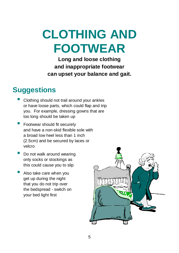**CLOTHING AND FOOTWEAR**

**Long and loose clothing and inappropriate footwear can upset your balance and gait.**

- ! Clothing should not trail around your ankles or have loose parts, which could flap and trip you. For example, dressing gowns that are too long should be taken up
- **E** Footwear should fit securely and have a non-skid flexible sole with a broad low heel less than 1 inch (2.5cm) and be secured by laces or velcro
- Do not walk around wearing only socks or stockings as this could cause you to slip
- Also take care when you get up during the night that you do not trip over the bedspread - switch on your bed light first

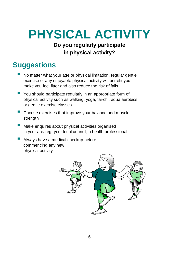# **PHYSICAL ACTIVITY**

#### **Do you regularly participate in physical activity?**

- ! No matter what your age or physical limitation, regular gentle exercise or any enjoyable physical activity will benefit you, make you feel fitter and also reduce the risk of falls
- **P** You should participate regularly in an appropriate form of physical activity such as walking, yoga, tai-chi, aqua aerobics or gentle exercise classes
- **E** Choose exercises that improve your balance and muscle strength
- **I** Make enquires about physical activities organised in your area eg. your local council, a health professional
- **E** Always have a medical checkup before commencing any new physical activity

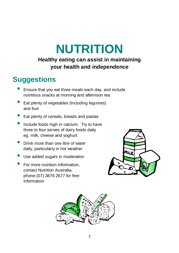### **NUTRITION Healthy eating can assist in maintaining**

#### **your health and independence**

- ! Ensure that you eat three meals each day, and include nutritious snacks at morning and afternoon tea
- Eat plenty of vegetables (including legumes) and fruit
- $\blacksquare$  Eat plenty of cereals, breads and pastas
- **If** Include foods high in calcium. Try to have three to four serves of dairy foods daily eg. milk, cheese and yoghurt
- **P** Drink more than one litre of water daily, particularly in hot weather
- **Use added sugars in moderation**
- For more nutrition information, contact Nutrition Australia, phone (07) 3876 2677 for free information



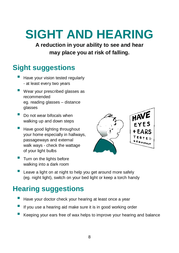# **SIGHT AND HEARING**

**A reduction in your ability to see and hear may place you at risk of falling.**

#### **Sight suggestions**

- Have your vision tested regularly - at least every two years
- **I** Wear your prescribed glasses as recommended eg. reading glasses – distance glasses
- $\blacksquare$  Do not wear bifocals when walking up and down steps
- **E** Have good lighting throughout your home especially in hallways, passageways and external walk ways - check the wattage of your light bulbs



- **Turn on the lights before** walking into a dark room
- Leave a light on at night to help you get around more safely (eg. night light), switch on your bed light or keep a torch handy

#### **Hearing suggestions**

- Have your doctor check your hearing at least once a year
- If you use a hearing aid make sure it is in good working order
- ! Keeping your ears free of wax helps to improve your hearing and balance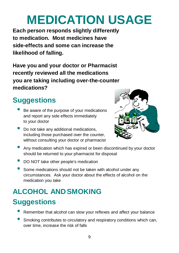# **MEDICATION USAGE**

**Each person responds slightly differently to medication. Most medicines have side-effects and some can increase the likelihood of falling.**

**Have you and your doctor or Pharmacist recently reviewed all the medications you are taking including over-the-counter medications?**

### **Suggestions**

- Be aware of the purpose of your medications and report any side effects immediately to your doctor
- Do not take any additional medications, including those purchased over the counter, without consulting your doctor or pharmacist



- **E** Any medication which has expired or been discontinued by your doctor should be returned to your pharmacist for disposal
- DO NOT take other people's medication
- **E** Some medications should not be taken with alcohol under any circumstances. Ask your doctor about the effects of alcohol on the medication you take

### **ALCOHOL ANDSMOKING**

- ! Remember that alcohol can slow your reflexes and affect your balance
- **E** Smoking contributes to circulatory and respiratory conditions which can, over time, increase the risk of falls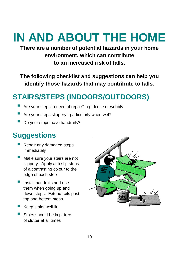# **IN AND ABOUT THE HOME**

**There are a number of potential hazards in your home environment, which can contribute to an increased risk of falls.**

**The following checklist and suggestions can help you identify those hazards that may contribute to falls.**

### **STAIRS/STEPS (INDOORS/OUTDOORS)**

- Are your steps in need of repair? eg. loose or wobbly
- Are your steps slippery particularly when wet?
- Do your steps have handrails?

- Repair any damaged steps immediately
- Make sure your stairs are not slippery. Apply anti-slip strips of a contrasting colour to the edge of each step
- **I** Install handrails and use them when going up and down steps. Extend rails past top and bottom steps
- ! Keep stairs well-lit
- Stairs should be kept free of clutter at all times

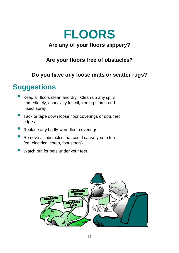### **FLOORS Are any of your floors slippery?**

#### **Are your floors free of obstacles?**

#### **Do you have any loose mats or scatter rugs?**

- Keep all floors clean and dry. Clean up any spills immediately, especially fat, oil, ironing starch and insect spray
- **Tack or tape down loose floor coverings or upturned** edges
- **E** Replace any badly-worn floor coverings
- Remove all obstacles that could cause you to trip (eg. electrical cords, foot stools)
- Watch out for pets under your feet

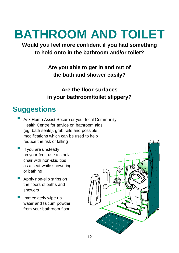# **BATHROOM AND TOILET**

#### **Would you feel more confident if you had something to hold onto in the bathroom and/or toilet?**

#### **Are you able to get in and out of the bath and shower easily?**

**Are the floor surfaces in your bathroom/toilet slippery?**

- Ask Home Assist Secure or your local Community Health Centre for advice on bathroom aids (eg. bath seats), grab rails and possible modifications which can be used to help reduce the risk of falling
- If you are unsteady on your feet, use a stool/ chair with non-skid tips as a seat while showering or bathing
- **Apply non-slip strips on** the floors of baths and showers
- Immediately wipe up water and talcum powder from your bathroom floor

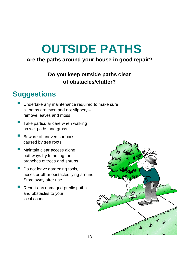### **OUTSIDE PATHS**

#### **Are the paths around your house in good repair?**

#### **Do you keep outside paths clear of obstacles/clutter?**

- Undertake any maintenance required to make sure all paths are even and not slippery – remove leaves and moss
- Take particular care when walking on wet paths and grass
- Beware of uneven surfaces caused by tree roots
- **I** Maintain clear access along pathways by trimming the branches of trees and shrubs
- Do not leave gardening tools, hoses or other obstacles lying around. Store away after use
- Report any damaged public paths and obstacles to your local council

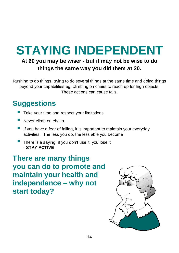### **STAYING INDEPENDENT**

#### **At 60 you may be wiser - but it may not be wise to do things the same way you did them at 20.**

Rushing to do things, trying to do several things at the same time and doing things beyond your capabilities eg. climbing on chairs to reach up for high objects. These actions can cause falls.

### **Suggestions**

- Take your time and respect your limitations
- Never climb on chairs
- If you have a fear of falling, it is important to maintain your everyday activities. The less you do, the less able you become
- **There is a saying: if you don't use it, you lose it - STAY ACTIVE**

**There are many things you can do to promote and maintain your health and independence – why not start today?**